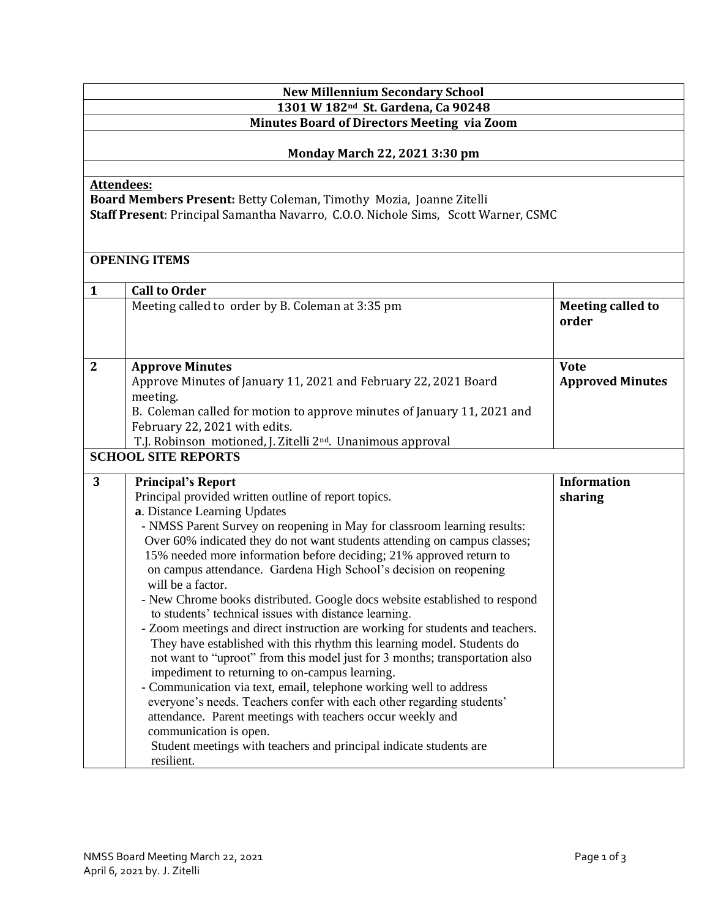| <b>New Millennium Secondary School</b>                                                               |                                                                                                                                                        |                          |  |  |                                      |
|------------------------------------------------------------------------------------------------------|--------------------------------------------------------------------------------------------------------------------------------------------------------|--------------------------|--|--|--------------------------------------|
| 1301 W 182 <sup>nd</sup> St. Gardena, Ca 90248<br><b>Minutes Board of Directors Meeting via Zoom</b> |                                                                                                                                                        |                          |  |  |                                      |
|                                                                                                      |                                                                                                                                                        |                          |  |  | <b>Monday March 22, 2021 3:30 pm</b> |
|                                                                                                      |                                                                                                                                                        |                          |  |  |                                      |
|                                                                                                      | <b>Attendees:</b>                                                                                                                                      |                          |  |  |                                      |
|                                                                                                      | Board Members Present: Betty Coleman, Timothy Mozia, Joanne Zitelli                                                                                    |                          |  |  |                                      |
|                                                                                                      | Staff Present: Principal Samantha Navarro, C.O.O. Nichole Sims, Scott Warner, CSMC                                                                     |                          |  |  |                                      |
|                                                                                                      |                                                                                                                                                        |                          |  |  |                                      |
|                                                                                                      | <b>OPENING ITEMS</b>                                                                                                                                   |                          |  |  |                                      |
|                                                                                                      |                                                                                                                                                        |                          |  |  |                                      |
| 1                                                                                                    | <b>Call to Order</b>                                                                                                                                   |                          |  |  |                                      |
|                                                                                                      | Meeting called to order by B. Coleman at 3:35 pm                                                                                                       | <b>Meeting called to</b> |  |  |                                      |
|                                                                                                      |                                                                                                                                                        | order                    |  |  |                                      |
|                                                                                                      |                                                                                                                                                        |                          |  |  |                                      |
| $\mathbf{2}$                                                                                         | <b>Approve Minutes</b>                                                                                                                                 | <b>Vote</b>              |  |  |                                      |
|                                                                                                      | Approve Minutes of January 11, 2021 and February 22, 2021 Board                                                                                        | <b>Approved Minutes</b>  |  |  |                                      |
|                                                                                                      | meeting.                                                                                                                                               |                          |  |  |                                      |
|                                                                                                      | B. Coleman called for motion to approve minutes of January 11, 2021 and                                                                                |                          |  |  |                                      |
|                                                                                                      | February 22, 2021 with edits.                                                                                                                          |                          |  |  |                                      |
|                                                                                                      | T.J. Robinson motioned, J. Zitelli 2 <sup>nd</sup> . Unanimous approval                                                                                |                          |  |  |                                      |
| <b>SCHOOL SITE REPORTS</b>                                                                           |                                                                                                                                                        |                          |  |  |                                      |
| 3                                                                                                    | <b>Principal's Report</b>                                                                                                                              | <b>Information</b>       |  |  |                                      |
|                                                                                                      | Principal provided written outline of report topics.                                                                                                   | sharing                  |  |  |                                      |
|                                                                                                      | a. Distance Learning Updates                                                                                                                           |                          |  |  |                                      |
|                                                                                                      | - NMSS Parent Survey on reopening in May for classroom learning results:                                                                               |                          |  |  |                                      |
|                                                                                                      | Over 60% indicated they do not want students attending on campus classes;<br>15% needed more information before deciding; 21% approved return to       |                          |  |  |                                      |
|                                                                                                      | on campus attendance. Gardena High School's decision on reopening                                                                                      |                          |  |  |                                      |
|                                                                                                      | will be a factor.                                                                                                                                      |                          |  |  |                                      |
|                                                                                                      | - New Chrome books distributed. Google docs website established to respond                                                                             |                          |  |  |                                      |
|                                                                                                      | to students' technical issues with distance learning.                                                                                                  |                          |  |  |                                      |
|                                                                                                      | - Zoom meetings and direct instruction are working for students and teachers.                                                                          |                          |  |  |                                      |
|                                                                                                      | They have established with this rhythm this learning model. Students do<br>not want to "uproot" from this model just for 3 months; transportation also |                          |  |  |                                      |
|                                                                                                      | impediment to returning to on-campus learning.                                                                                                         |                          |  |  |                                      |
|                                                                                                      | - Communication via text, email, telephone working well to address                                                                                     |                          |  |  |                                      |
|                                                                                                      | everyone's needs. Teachers confer with each other regarding students'                                                                                  |                          |  |  |                                      |
|                                                                                                      | attendance. Parent meetings with teachers occur weekly and                                                                                             |                          |  |  |                                      |
|                                                                                                      | communication is open.                                                                                                                                 |                          |  |  |                                      |
|                                                                                                      | Student meetings with teachers and principal indicate students are<br>resilient.                                                                       |                          |  |  |                                      |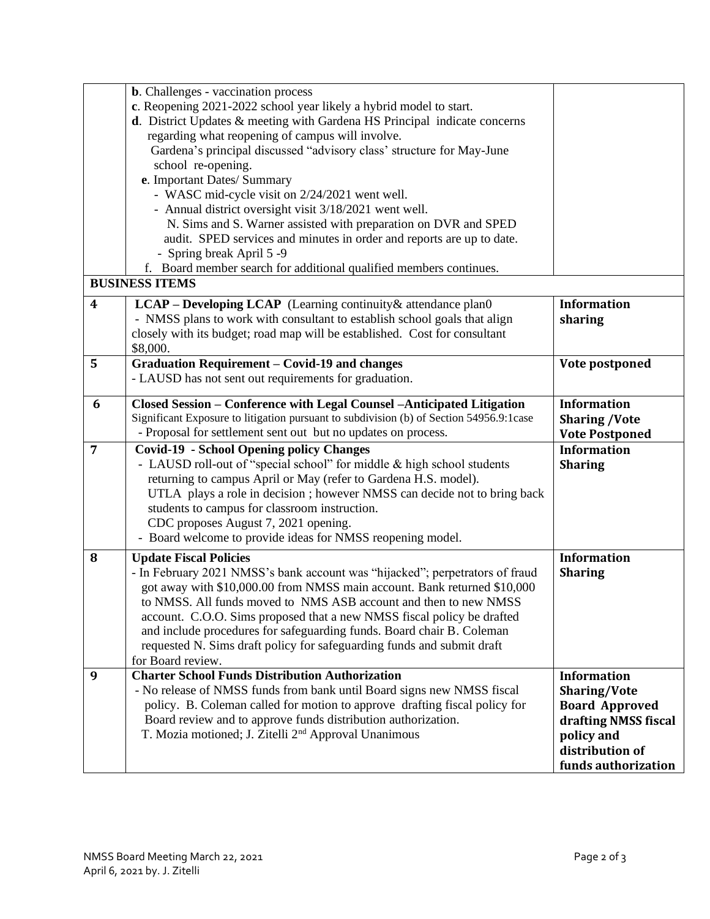|   | <b>b.</b> Challenges - vaccination process<br>c. Reopening 2021-2022 school year likely a hybrid model to start.<br>$d$ . District Updates $\&$ meeting with Gardena HS Principal indicate concerns<br>regarding what reopening of campus will involve.<br>Gardena's principal discussed "advisory class' structure for May-June<br>school re-opening.<br>e. Important Dates/ Summary<br>- WASC mid-cycle visit on 2/24/2021 went well.<br>- Annual district oversight visit 3/18/2021 went well.<br>N. Sims and S. Warner assisted with preparation on DVR and SPED<br>audit. SPED services and minutes in order and reports are up to date.<br>- Spring break April 5 -9<br>f. Board member search for additional qualified members continues.<br><b>BUSINESS ITEMS</b> |                                                                                                                                                    |
|---|---------------------------------------------------------------------------------------------------------------------------------------------------------------------------------------------------------------------------------------------------------------------------------------------------------------------------------------------------------------------------------------------------------------------------------------------------------------------------------------------------------------------------------------------------------------------------------------------------------------------------------------------------------------------------------------------------------------------------------------------------------------------------|----------------------------------------------------------------------------------------------------------------------------------------------------|
| 4 | LCAP - Developing LCAP (Learning continuity & attendance plan0                                                                                                                                                                                                                                                                                                                                                                                                                                                                                                                                                                                                                                                                                                            | <b>Information</b>                                                                                                                                 |
|   | - NMSS plans to work with consultant to establish school goals that align<br>closely with its budget; road map will be established. Cost for consultant<br>\$8,000.                                                                                                                                                                                                                                                                                                                                                                                                                                                                                                                                                                                                       | sharing                                                                                                                                            |
| 5 | <b>Graduation Requirement - Covid-19 and changes</b><br>- LAUSD has not sent out requirements for graduation.                                                                                                                                                                                                                                                                                                                                                                                                                                                                                                                                                                                                                                                             | Vote postponed                                                                                                                                     |
| 6 | Closed Session - Conference with Legal Counsel -Anticipated Litigation<br>Significant Exposure to litigation pursuant to subdivision (b) of Section 54956.9:1case<br>- Proposal for settlement sent out but no updates on process.                                                                                                                                                                                                                                                                                                                                                                                                                                                                                                                                        | <b>Information</b><br><b>Sharing /Vote</b><br><b>Vote Postponed</b>                                                                                |
| 7 | <b>Covid-19 - School Opening policy Changes</b><br>- LAUSD roll-out of "special school" for middle & high school students<br>returning to campus April or May (refer to Gardena H.S. model).<br>UTLA plays a role in decision ; however NMSS can decide not to bring back<br>students to campus for classroom instruction.<br>CDC proposes August 7, 2021 opening.<br>- Board welcome to provide ideas for NMSS reopening model.                                                                                                                                                                                                                                                                                                                                          | <b>Information</b><br><b>Sharing</b>                                                                                                               |
| 8 | <b>Update Fiscal Policies</b><br>- In February 2021 NMSS's bank account was "hijacked"; perpetrators of fraud<br>got away with \$10,000.00 from NMSS main account. Bank returned \$10,000<br>to NMSS. All funds moved to NMS ASB account and then to new NMSS<br>account. C.O.O. Sims proposed that a new NMSS fiscal policy be drafted<br>and include procedures for safeguarding funds. Board chair B. Coleman<br>requested N. Sims draft policy for safeguarding funds and submit draft<br>for Board review.                                                                                                                                                                                                                                                           | <b>Information</b><br><b>Sharing</b>                                                                                                               |
| 9 | <b>Charter School Funds Distribution Authorization</b><br>- No release of NMSS funds from bank until Board signs new NMSS fiscal<br>policy. B. Coleman called for motion to approve drafting fiscal policy for<br>Board review and to approve funds distribution authorization.<br>T. Mozia motioned; J. Zitelli 2 <sup>nd</sup> Approval Unanimous                                                                                                                                                                                                                                                                                                                                                                                                                       | <b>Information</b><br><b>Sharing/Vote</b><br><b>Board Approved</b><br>drafting NMSS fiscal<br>policy and<br>distribution of<br>funds authorization |